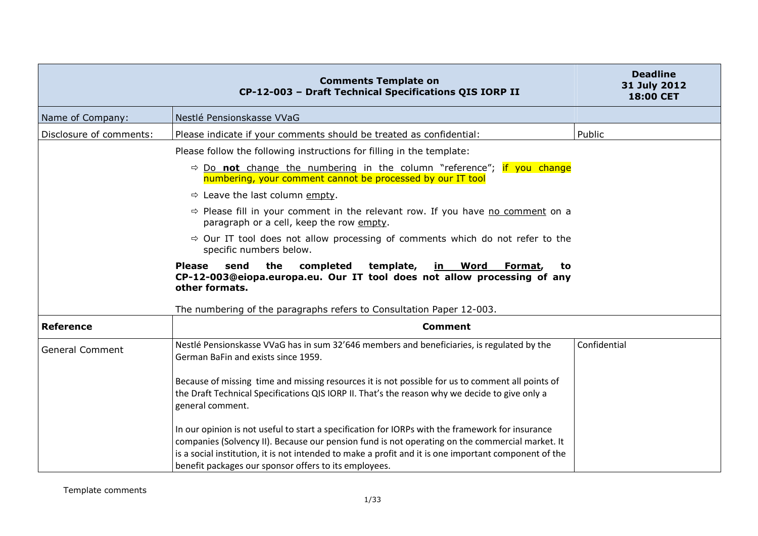|                         | <b>Comments Template on</b><br>CP-12-003 - Draft Technical Specifications QIS IORP II                                                                                                                                                                                                                                                                                 | <b>Deadline</b><br>31 July 2012<br>18:00 CET |
|-------------------------|-----------------------------------------------------------------------------------------------------------------------------------------------------------------------------------------------------------------------------------------------------------------------------------------------------------------------------------------------------------------------|----------------------------------------------|
| Name of Company:        | Nestlé Pensionskasse VVaG                                                                                                                                                                                                                                                                                                                                             |                                              |
| Disclosure of comments: | Please indicate if your comments should be treated as confidential:                                                                                                                                                                                                                                                                                                   | Public                                       |
|                         | Please follow the following instructions for filling in the template:                                                                                                                                                                                                                                                                                                 |                                              |
|                         | $\Rightarrow$ Do not change the numbering in the column "reference"; if you change<br>numbering, your comment cannot be processed by our IT tool                                                                                                                                                                                                                      |                                              |
|                         | $\Rightarrow$ Leave the last column empty.                                                                                                                                                                                                                                                                                                                            |                                              |
|                         | $\Rightarrow$ Please fill in your comment in the relevant row. If you have no comment on a<br>paragraph or a cell, keep the row empty.                                                                                                                                                                                                                                |                                              |
|                         | $\Rightarrow$ Our IT tool does not allow processing of comments which do not refer to the<br>specific numbers below.                                                                                                                                                                                                                                                  |                                              |
|                         | <b>Please</b><br>send<br>the<br>completed<br>template,<br>in Word<br>Format,<br>to<br>CP-12-003@eiopa.europa.eu. Our IT tool does not allow processing of any<br>other formats.                                                                                                                                                                                       |                                              |
| <b>Reference</b>        | The numbering of the paragraphs refers to Consultation Paper 12-003.<br><b>Comment</b>                                                                                                                                                                                                                                                                                |                                              |
|                         |                                                                                                                                                                                                                                                                                                                                                                       |                                              |
| <b>General Comment</b>  | Nestlé Pensionskasse VVaG has in sum 32'646 members and beneficiaries, is regulated by the<br>German BaFin and exists since 1959.                                                                                                                                                                                                                                     | Confidential                                 |
|                         | Because of missing time and missing resources it is not possible for us to comment all points of<br>the Draft Technical Specifications QIS IORP II. That's the reason why we decide to give only a<br>general comment.                                                                                                                                                |                                              |
|                         | In our opinion is not useful to start a specification for IORPs with the framework for insurance<br>companies (Solvency II). Because our pension fund is not operating on the commercial market. It<br>is a social institution, it is not intended to make a profit and it is one important component of the<br>benefit packages our sponsor offers to its employees. |                                              |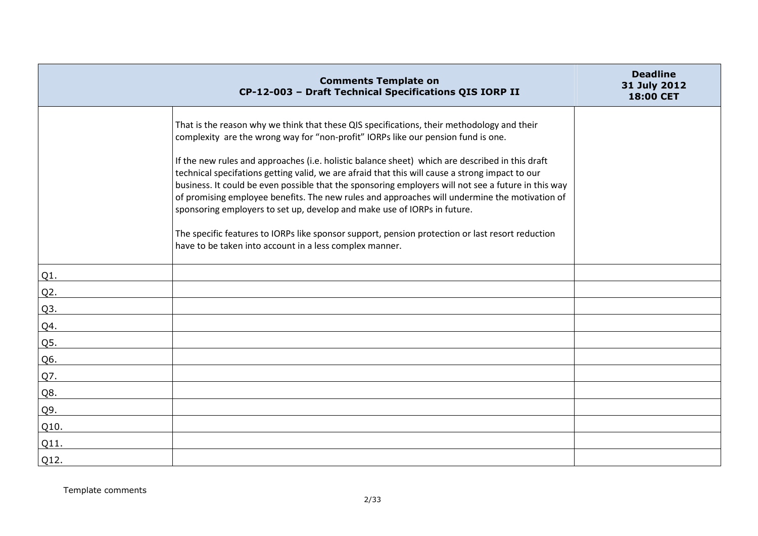|                  | <b>Comments Template on</b><br>CP-12-003 - Draft Technical Specifications QIS IORP II                                                                                                                                                                                                                                                                                                                                                                                                                                                                                                                                                                                     | <b>Deadline</b><br>31 July 2012<br>18:00 CET |
|------------------|---------------------------------------------------------------------------------------------------------------------------------------------------------------------------------------------------------------------------------------------------------------------------------------------------------------------------------------------------------------------------------------------------------------------------------------------------------------------------------------------------------------------------------------------------------------------------------------------------------------------------------------------------------------------------|----------------------------------------------|
|                  | That is the reason why we think that these QIS specifications, their methodology and their<br>complexity are the wrong way for "non-profit" IORPs like our pension fund is one.<br>If the new rules and approaches (i.e. holistic balance sheet) which are described in this draft<br>technical specifations getting valid, we are afraid that this will cause a strong impact to our<br>business. It could be even possible that the sponsoring employers will not see a future in this way<br>of promising employee benefits. The new rules and approaches will undermine the motivation of<br>sponsoring employers to set up, develop and make use of IORPs in future. |                                              |
|                  | The specific features to IORPs like sponsor support, pension protection or last resort reduction<br>have to be taken into account in a less complex manner.                                                                                                                                                                                                                                                                                                                                                                                                                                                                                                               |                                              |
| Q1.              |                                                                                                                                                                                                                                                                                                                                                                                                                                                                                                                                                                                                                                                                           |                                              |
| Q2.              |                                                                                                                                                                                                                                                                                                                                                                                                                                                                                                                                                                                                                                                                           |                                              |
| Q <sub>3</sub> . |                                                                                                                                                                                                                                                                                                                                                                                                                                                                                                                                                                                                                                                                           |                                              |
| Q4.              |                                                                                                                                                                                                                                                                                                                                                                                                                                                                                                                                                                                                                                                                           |                                              |
| Q5.              |                                                                                                                                                                                                                                                                                                                                                                                                                                                                                                                                                                                                                                                                           |                                              |
| Q6.              |                                                                                                                                                                                                                                                                                                                                                                                                                                                                                                                                                                                                                                                                           |                                              |
| Q7.              |                                                                                                                                                                                                                                                                                                                                                                                                                                                                                                                                                                                                                                                                           |                                              |
| Q8.              |                                                                                                                                                                                                                                                                                                                                                                                                                                                                                                                                                                                                                                                                           |                                              |
| Q9.              |                                                                                                                                                                                                                                                                                                                                                                                                                                                                                                                                                                                                                                                                           |                                              |
| Q10.             |                                                                                                                                                                                                                                                                                                                                                                                                                                                                                                                                                                                                                                                                           |                                              |
| Q11.             |                                                                                                                                                                                                                                                                                                                                                                                                                                                                                                                                                                                                                                                                           |                                              |
| Q12.             |                                                                                                                                                                                                                                                                                                                                                                                                                                                                                                                                                                                                                                                                           |                                              |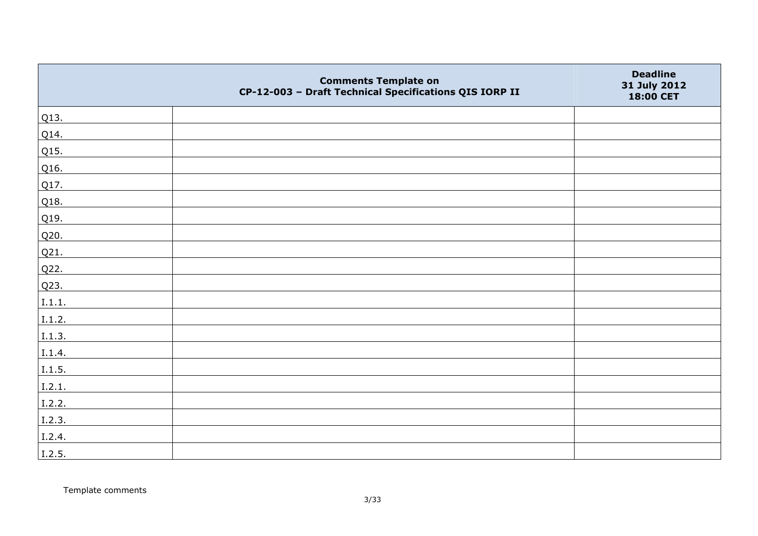|        | <b>Comments Template on</b><br>CP-12-003 - Draft Technical Specifications QIS IORP II | <b>Deadline</b><br>31 July 2012<br>18:00 CET |
|--------|---------------------------------------------------------------------------------------|----------------------------------------------|
| Q13.   |                                                                                       |                                              |
| Q14.   |                                                                                       |                                              |
| Q15.   |                                                                                       |                                              |
| Q16.   |                                                                                       |                                              |
| Q17.   |                                                                                       |                                              |
| Q18.   |                                                                                       |                                              |
| Q19.   |                                                                                       |                                              |
| Q20.   |                                                                                       |                                              |
| Q21.   |                                                                                       |                                              |
| Q22.   |                                                                                       |                                              |
| Q23.   |                                                                                       |                                              |
| I.1.1. |                                                                                       |                                              |
| I.1.2. |                                                                                       |                                              |
| I.1.3. |                                                                                       |                                              |
| I.1.4. |                                                                                       |                                              |
| 1.1.5. |                                                                                       |                                              |
| I.2.1. |                                                                                       |                                              |
| I.2.2. |                                                                                       |                                              |
| I.2.3. |                                                                                       |                                              |
| I.2.4. |                                                                                       |                                              |
| 1.2.5. |                                                                                       |                                              |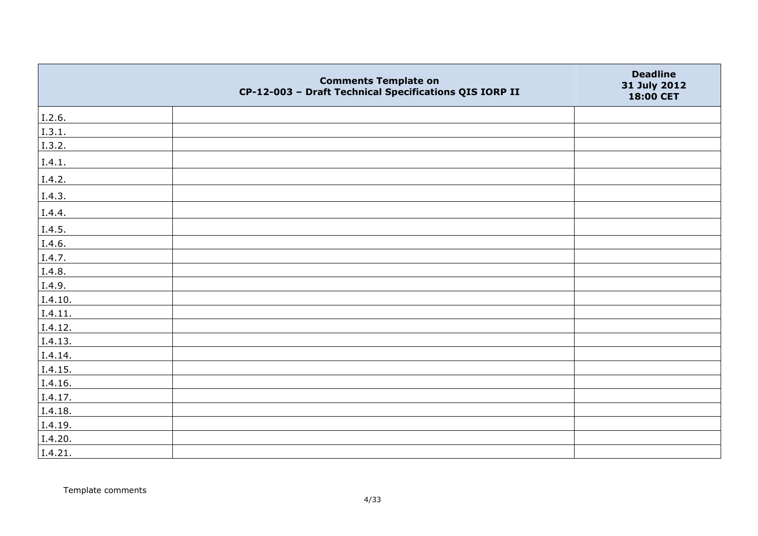|         | <b>Comments Template on</b><br>CP-12-003 - Draft Technical Specifications QIS IORP II | <b>Deadline</b><br>31 July 2012<br>18:00 CET |
|---------|---------------------------------------------------------------------------------------|----------------------------------------------|
| I.2.6.  |                                                                                       |                                              |
| I.3.1.  |                                                                                       |                                              |
| I.3.2.  |                                                                                       |                                              |
| I.4.1.  |                                                                                       |                                              |
| I.4.2.  |                                                                                       |                                              |
| I.4.3.  |                                                                                       |                                              |
| I.4.4.  |                                                                                       |                                              |
| I.4.5.  |                                                                                       |                                              |
| I.4.6.  |                                                                                       |                                              |
| I.4.7.  |                                                                                       |                                              |
| I.4.8.  |                                                                                       |                                              |
| I.4.9.  |                                                                                       |                                              |
| I.4.10. |                                                                                       |                                              |
| I.4.11. |                                                                                       |                                              |
| I.4.12. |                                                                                       |                                              |
| I.4.13. |                                                                                       |                                              |
| I.4.14. |                                                                                       |                                              |
| I.4.15. |                                                                                       |                                              |
| I.4.16. |                                                                                       |                                              |
| I.4.17. |                                                                                       |                                              |
| I.4.18. |                                                                                       |                                              |
| I.4.19. |                                                                                       |                                              |
| I.4.20. |                                                                                       |                                              |
| I.4.21. |                                                                                       |                                              |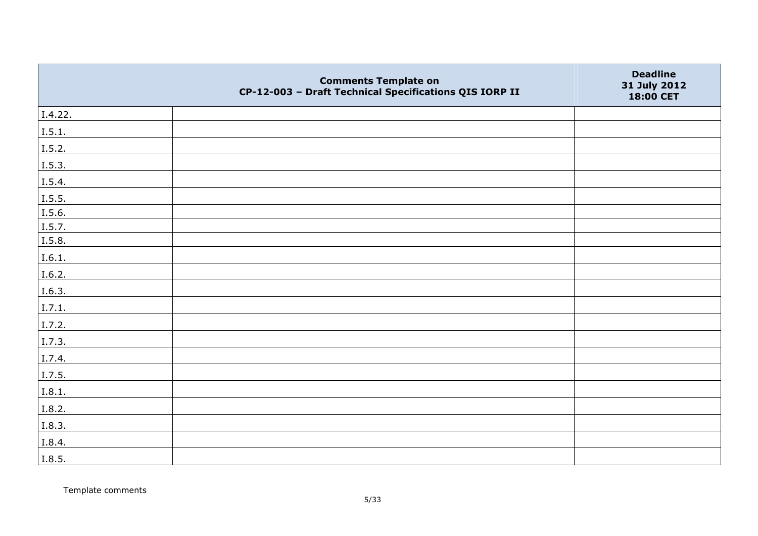|         | <b>Comments Template on</b><br>CP-12-003 - Draft Technical Specifications QIS IORP II | <b>Deadline</b><br>31 July 2012<br>18:00 CET |
|---------|---------------------------------------------------------------------------------------|----------------------------------------------|
| I.4.22. |                                                                                       |                                              |
| I.5.1.  |                                                                                       |                                              |
| I.5.2.  |                                                                                       |                                              |
| I.5.3.  |                                                                                       |                                              |
| I.5.4.  |                                                                                       |                                              |
| I.5.5.  |                                                                                       |                                              |
| I.5.6.  |                                                                                       |                                              |
| I.5.7.  |                                                                                       |                                              |
| I.5.8.  |                                                                                       |                                              |
| I.6.1.  |                                                                                       |                                              |
| I.6.2.  |                                                                                       |                                              |
| I.6.3.  |                                                                                       |                                              |
| I.7.1.  |                                                                                       |                                              |
| I.7.2.  |                                                                                       |                                              |
| I.7.3.  |                                                                                       |                                              |
| I.7.4.  |                                                                                       |                                              |
| I.7.5.  |                                                                                       |                                              |
| I.8.1.  |                                                                                       |                                              |
| I.8.2.  |                                                                                       |                                              |
| I.8.3.  |                                                                                       |                                              |
| I.8.4.  |                                                                                       |                                              |
| I.8.5.  |                                                                                       |                                              |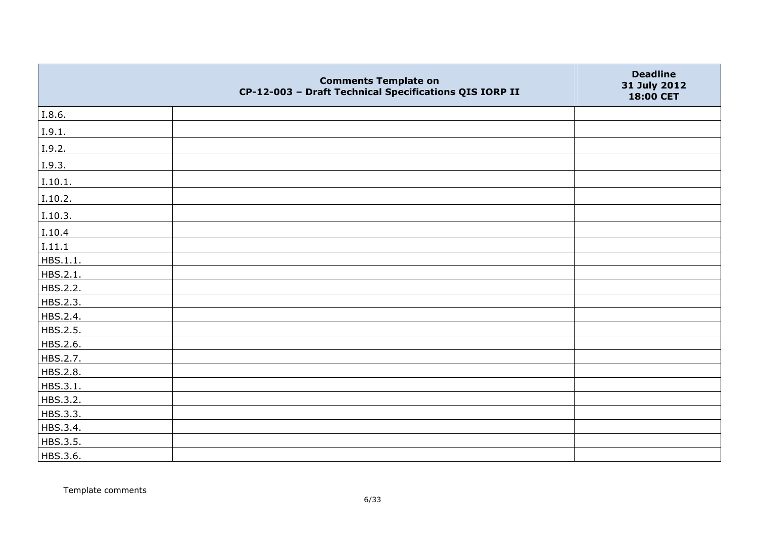|          | <b>Comments Template on</b><br>CP-12-003 - Draft Technical Specifications QIS IORP II | <b>Deadline</b><br>31 July 2012<br>18:00 CET |
|----------|---------------------------------------------------------------------------------------|----------------------------------------------|
| I.8.6.   |                                                                                       |                                              |
| I.9.1.   |                                                                                       |                                              |
| I.9.2.   |                                                                                       |                                              |
| I.9.3.   |                                                                                       |                                              |
| I.10.1.  |                                                                                       |                                              |
| I.10.2.  |                                                                                       |                                              |
| I.10.3.  |                                                                                       |                                              |
| I.10.4   |                                                                                       |                                              |
| I.11.1   |                                                                                       |                                              |
| HBS.1.1. |                                                                                       |                                              |
| HBS.2.1. |                                                                                       |                                              |
| HBS.2.2. |                                                                                       |                                              |
| HBS.2.3. |                                                                                       |                                              |
| HBS.2.4. |                                                                                       |                                              |
| HBS.2.5. |                                                                                       |                                              |
| HBS.2.6. |                                                                                       |                                              |
| HBS.2.7. |                                                                                       |                                              |
| HBS.2.8. |                                                                                       |                                              |
| HBS.3.1. |                                                                                       |                                              |
| HBS.3.2. |                                                                                       |                                              |
| HBS.3.3. |                                                                                       |                                              |
| HBS.3.4. |                                                                                       |                                              |
| HBS.3.5. |                                                                                       |                                              |
| HBS.3.6. |                                                                                       |                                              |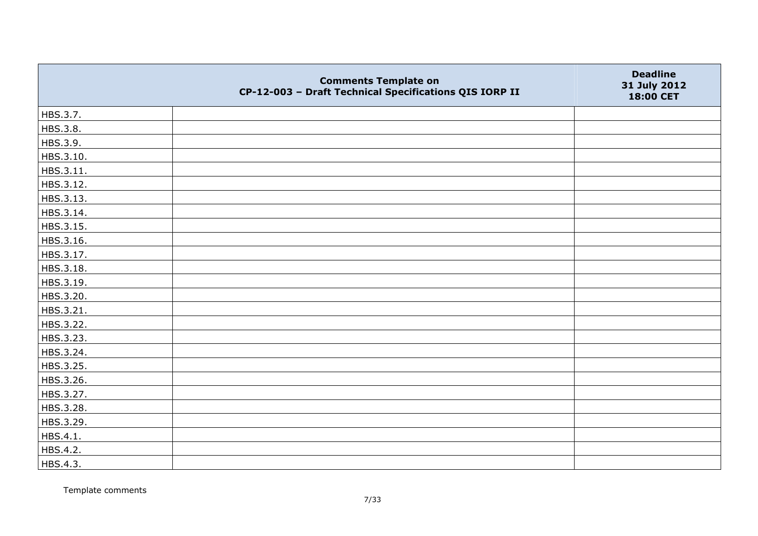|           | <b>Comments Template on</b><br>CP-12-003 - Draft Technical Specifications QIS IORP II | <b>Deadline</b><br>31 July 2012<br>18:00 CET |
|-----------|---------------------------------------------------------------------------------------|----------------------------------------------|
| HBS.3.7.  |                                                                                       |                                              |
| HBS.3.8.  |                                                                                       |                                              |
| HBS.3.9.  |                                                                                       |                                              |
| HBS.3.10. |                                                                                       |                                              |
| HBS.3.11. |                                                                                       |                                              |
| HBS.3.12. |                                                                                       |                                              |
| HBS.3.13. |                                                                                       |                                              |
| HBS.3.14. |                                                                                       |                                              |
| HBS.3.15. |                                                                                       |                                              |
| HBS.3.16. |                                                                                       |                                              |
| HBS.3.17. |                                                                                       |                                              |
| HBS.3.18. |                                                                                       |                                              |
| HBS.3.19. |                                                                                       |                                              |
| HBS.3.20. |                                                                                       |                                              |
| HBS.3.21. |                                                                                       |                                              |
| HBS.3.22. |                                                                                       |                                              |
| HBS.3.23. |                                                                                       |                                              |
| HBS.3.24. |                                                                                       |                                              |
| HBS.3.25. |                                                                                       |                                              |
| HBS.3.26. |                                                                                       |                                              |
| HBS.3.27. |                                                                                       |                                              |
| HBS.3.28. |                                                                                       |                                              |
| HBS.3.29. |                                                                                       |                                              |
| HBS.4.1.  |                                                                                       |                                              |
| HBS.4.2.  |                                                                                       |                                              |
| HBS.4.3.  |                                                                                       |                                              |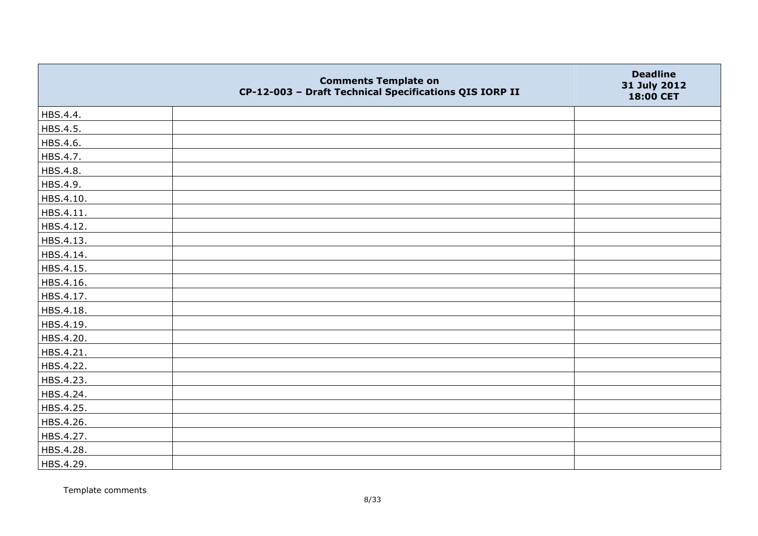|           | <b>Comments Template on</b><br>CP-12-003 - Draft Technical Specifications QIS IORP II | <b>Deadline</b><br>31 July 2012<br>18:00 CET |
|-----------|---------------------------------------------------------------------------------------|----------------------------------------------|
| HBS.4.4.  |                                                                                       |                                              |
| HBS.4.5.  |                                                                                       |                                              |
| HBS.4.6.  |                                                                                       |                                              |
| HBS.4.7.  |                                                                                       |                                              |
| HBS.4.8.  |                                                                                       |                                              |
| HBS.4.9.  |                                                                                       |                                              |
| HBS.4.10. |                                                                                       |                                              |
| HBS.4.11. |                                                                                       |                                              |
| HBS.4.12. |                                                                                       |                                              |
| HBS.4.13. |                                                                                       |                                              |
| HBS.4.14. |                                                                                       |                                              |
| HBS.4.15. |                                                                                       |                                              |
| HBS.4.16. |                                                                                       |                                              |
| HBS.4.17. |                                                                                       |                                              |
| HBS.4.18. |                                                                                       |                                              |
| HBS.4.19. |                                                                                       |                                              |
| HBS.4.20. |                                                                                       |                                              |
| HBS.4.21. |                                                                                       |                                              |
| HBS.4.22. |                                                                                       |                                              |
| HBS.4.23. |                                                                                       |                                              |
| HBS.4.24. |                                                                                       |                                              |
| HBS.4.25. |                                                                                       |                                              |
| HBS.4.26. |                                                                                       |                                              |
| HBS.4.27. |                                                                                       |                                              |
| HBS.4.28. |                                                                                       |                                              |
| HBS.4.29. |                                                                                       |                                              |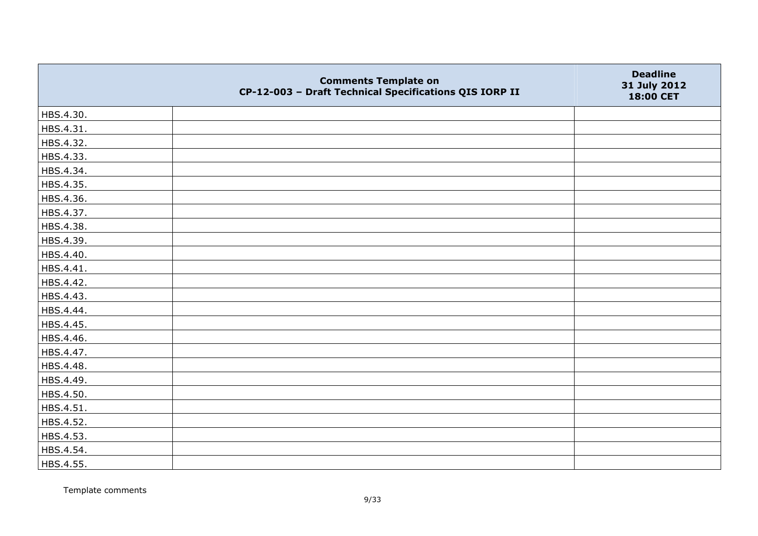|           | <b>Comments Template on</b><br>CP-12-003 - Draft Technical Specifications QIS IORP II | <b>Deadline</b><br>31 July 2012<br>18:00 CET |
|-----------|---------------------------------------------------------------------------------------|----------------------------------------------|
| HBS.4.30. |                                                                                       |                                              |
| HBS.4.31. |                                                                                       |                                              |
| HBS.4.32. |                                                                                       |                                              |
| HBS.4.33. |                                                                                       |                                              |
| HBS.4.34. |                                                                                       |                                              |
| HBS.4.35. |                                                                                       |                                              |
| HBS.4.36. |                                                                                       |                                              |
| HBS.4.37. |                                                                                       |                                              |
| HBS.4.38. |                                                                                       |                                              |
| HBS.4.39. |                                                                                       |                                              |
| HBS.4.40. |                                                                                       |                                              |
| HBS.4.41. |                                                                                       |                                              |
| HBS.4.42. |                                                                                       |                                              |
| HBS.4.43. |                                                                                       |                                              |
| HBS.4.44. |                                                                                       |                                              |
| HBS.4.45. |                                                                                       |                                              |
| HBS.4.46. |                                                                                       |                                              |
| HBS.4.47. |                                                                                       |                                              |
| HBS.4.48. |                                                                                       |                                              |
| HBS.4.49. |                                                                                       |                                              |
| HBS.4.50. |                                                                                       |                                              |
| HBS.4.51. |                                                                                       |                                              |
| HBS.4.52. |                                                                                       |                                              |
| HBS.4.53. |                                                                                       |                                              |
| HBS.4.54. |                                                                                       |                                              |
| HBS.4.55. |                                                                                       |                                              |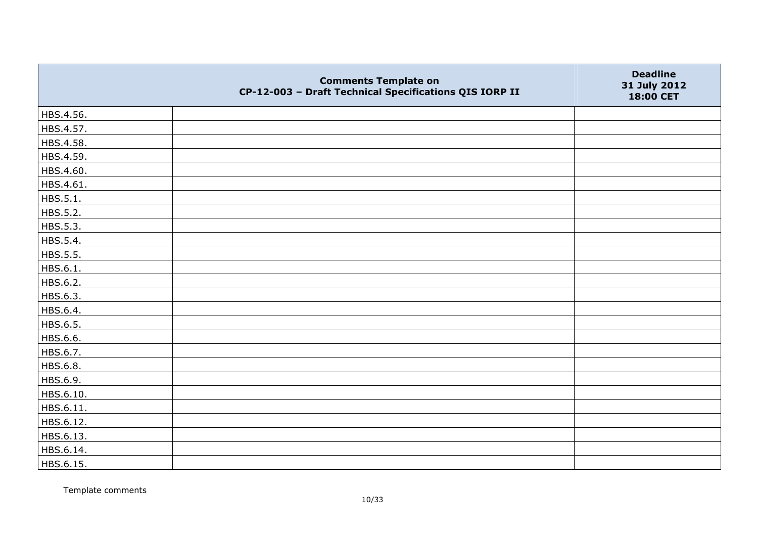|           | <b>Comments Template on</b><br>CP-12-003 - Draft Technical Specifications QIS IORP II | <b>Deadline</b><br>31 July 2012<br>18:00 CET |
|-----------|---------------------------------------------------------------------------------------|----------------------------------------------|
| HBS.4.56. |                                                                                       |                                              |
| HBS.4.57. |                                                                                       |                                              |
| HBS.4.58. |                                                                                       |                                              |
| HBS.4.59. |                                                                                       |                                              |
| HBS.4.60. |                                                                                       |                                              |
| HBS.4.61. |                                                                                       |                                              |
| HBS.5.1.  |                                                                                       |                                              |
| HBS.5.2.  |                                                                                       |                                              |
| HBS.5.3.  |                                                                                       |                                              |
| HBS.5.4.  |                                                                                       |                                              |
| HBS.5.5.  |                                                                                       |                                              |
| HBS.6.1.  |                                                                                       |                                              |
| HBS.6.2.  |                                                                                       |                                              |
| HBS.6.3.  |                                                                                       |                                              |
| HBS.6.4.  |                                                                                       |                                              |
| HBS.6.5.  |                                                                                       |                                              |
| HBS.6.6.  |                                                                                       |                                              |
| HBS.6.7.  |                                                                                       |                                              |
| HBS.6.8.  |                                                                                       |                                              |
| HBS.6.9.  |                                                                                       |                                              |
| HBS.6.10. |                                                                                       |                                              |
| HBS.6.11. |                                                                                       |                                              |
| HBS.6.12. |                                                                                       |                                              |
| HBS.6.13. |                                                                                       |                                              |
| HBS.6.14. |                                                                                       |                                              |
| HBS.6.15. |                                                                                       |                                              |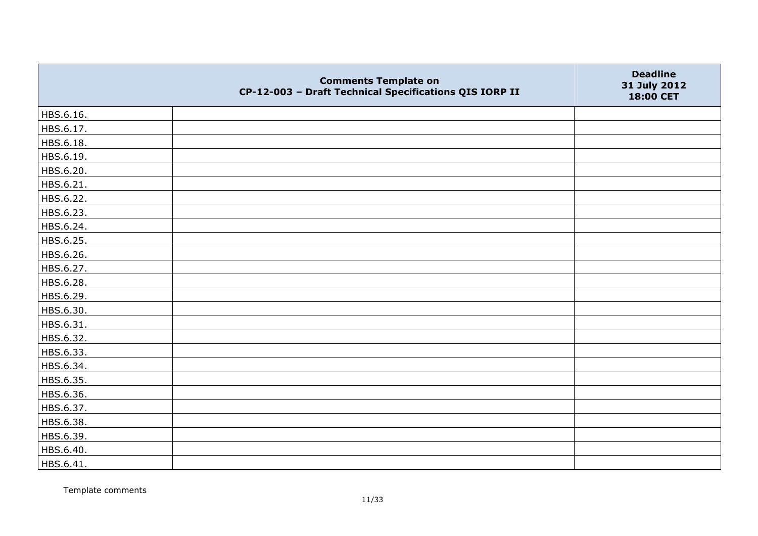|           | <b>Comments Template on</b><br>CP-12-003 - Draft Technical Specifications QIS IORP II | <b>Deadline</b><br>31 July 2012<br>18:00 CET |
|-----------|---------------------------------------------------------------------------------------|----------------------------------------------|
| HBS.6.16. |                                                                                       |                                              |
| HBS.6.17. |                                                                                       |                                              |
| HBS.6.18. |                                                                                       |                                              |
| HBS.6.19. |                                                                                       |                                              |
| HBS.6.20. |                                                                                       |                                              |
| HBS.6.21. |                                                                                       |                                              |
| HBS.6.22. |                                                                                       |                                              |
| HBS.6.23. |                                                                                       |                                              |
| HBS.6.24. |                                                                                       |                                              |
| HBS.6.25. |                                                                                       |                                              |
| HBS.6.26. |                                                                                       |                                              |
| HBS.6.27. |                                                                                       |                                              |
| HBS.6.28. |                                                                                       |                                              |
| HBS.6.29. |                                                                                       |                                              |
| HBS.6.30. |                                                                                       |                                              |
| HBS.6.31. |                                                                                       |                                              |
| HBS.6.32. |                                                                                       |                                              |
| HBS.6.33. |                                                                                       |                                              |
| HBS.6.34. |                                                                                       |                                              |
| HBS.6.35. |                                                                                       |                                              |
| HBS.6.36. |                                                                                       |                                              |
| HBS.6.37. |                                                                                       |                                              |
| HBS.6.38. |                                                                                       |                                              |
| HBS.6.39. |                                                                                       |                                              |
| HBS.6.40. |                                                                                       |                                              |
| HBS.6.41. |                                                                                       |                                              |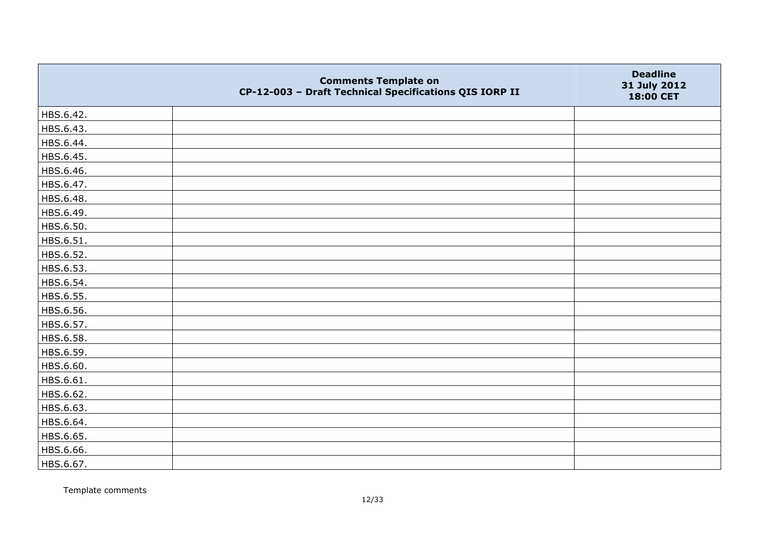|           | <b>Comments Template on</b><br>CP-12-003 - Draft Technical Specifications QIS IORP II | <b>Deadline</b><br>31 July 2012<br>18:00 CET |
|-----------|---------------------------------------------------------------------------------------|----------------------------------------------|
| HBS.6.42. |                                                                                       |                                              |
| HBS.6.43. |                                                                                       |                                              |
| HBS.6.44. |                                                                                       |                                              |
| HBS.6.45. |                                                                                       |                                              |
| HBS.6.46. |                                                                                       |                                              |
| HBS.6.47. |                                                                                       |                                              |
| HBS.6.48. |                                                                                       |                                              |
| HBS.6.49. |                                                                                       |                                              |
| HBS.6.50. |                                                                                       |                                              |
| HBS.6.51. |                                                                                       |                                              |
| HBS.6.52. |                                                                                       |                                              |
| HBS.6.53. |                                                                                       |                                              |
| HBS.6.54. |                                                                                       |                                              |
| HBS.6.55. |                                                                                       |                                              |
| HBS.6.56. |                                                                                       |                                              |
| HBS.6.57. |                                                                                       |                                              |
| HBS.6.58. |                                                                                       |                                              |
| HBS.6.59. |                                                                                       |                                              |
| HBS.6.60. |                                                                                       |                                              |
| HBS.6.61. |                                                                                       |                                              |
| HBS.6.62. |                                                                                       |                                              |
| HBS.6.63. |                                                                                       |                                              |
| HBS.6.64. |                                                                                       |                                              |
| HBS.6.65. |                                                                                       |                                              |
| HBS.6.66. |                                                                                       |                                              |
| HBS.6.67. |                                                                                       |                                              |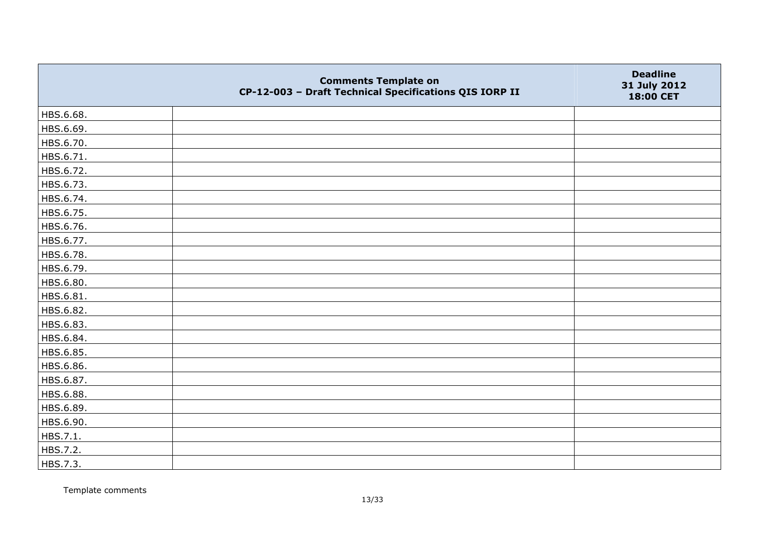|           | <b>Comments Template on</b><br>CP-12-003 - Draft Technical Specifications QIS IORP II | <b>Deadline</b><br>31 July 2012<br>18:00 CET |
|-----------|---------------------------------------------------------------------------------------|----------------------------------------------|
| HBS.6.68. |                                                                                       |                                              |
| HBS.6.69. |                                                                                       |                                              |
| HBS.6.70. |                                                                                       |                                              |
| HBS.6.71. |                                                                                       |                                              |
| HBS.6.72. |                                                                                       |                                              |
| HBS.6.73. |                                                                                       |                                              |
| HBS.6.74. |                                                                                       |                                              |
| HBS.6.75. |                                                                                       |                                              |
| HBS.6.76. |                                                                                       |                                              |
| HBS.6.77. |                                                                                       |                                              |
| HBS.6.78. |                                                                                       |                                              |
| HBS.6.79. |                                                                                       |                                              |
| HBS.6.80. |                                                                                       |                                              |
| HBS.6.81. |                                                                                       |                                              |
| HBS.6.82. |                                                                                       |                                              |
| HBS.6.83. |                                                                                       |                                              |
| HBS.6.84. |                                                                                       |                                              |
| HBS.6.85. |                                                                                       |                                              |
| HBS.6.86. |                                                                                       |                                              |
| HBS.6.87. |                                                                                       |                                              |
| HBS.6.88. |                                                                                       |                                              |
| HBS.6.89. |                                                                                       |                                              |
| HBS.6.90. |                                                                                       |                                              |
| HBS.7.1.  |                                                                                       |                                              |
| HBS.7.2.  |                                                                                       |                                              |
| HBS.7.3.  |                                                                                       |                                              |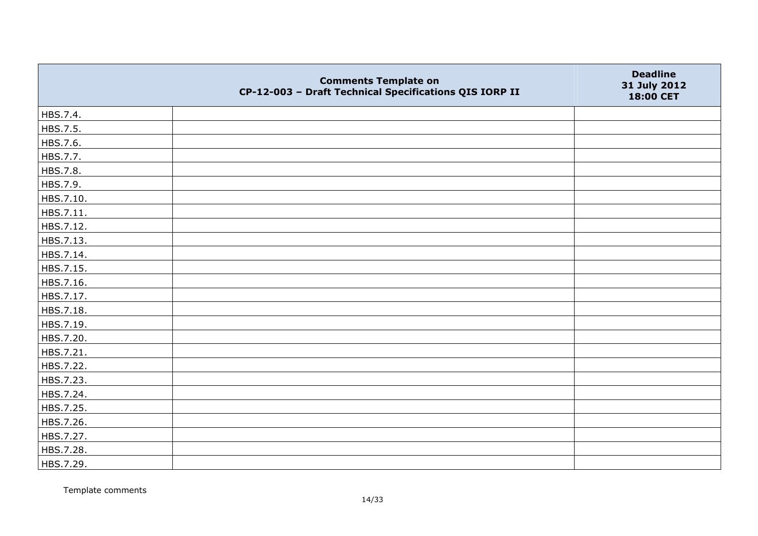|           | <b>Comments Template on</b><br>CP-12-003 - Draft Technical Specifications QIS IORP II | <b>Deadline</b><br>31 July 2012<br>18:00 CET |
|-----------|---------------------------------------------------------------------------------------|----------------------------------------------|
| HBS.7.4.  |                                                                                       |                                              |
| HBS.7.5.  |                                                                                       |                                              |
| HBS.7.6.  |                                                                                       |                                              |
| HBS.7.7.  |                                                                                       |                                              |
| HBS.7.8.  |                                                                                       |                                              |
| HBS.7.9.  |                                                                                       |                                              |
| HBS.7.10. |                                                                                       |                                              |
| HBS.7.11. |                                                                                       |                                              |
| HBS.7.12. |                                                                                       |                                              |
| HBS.7.13. |                                                                                       |                                              |
| HBS.7.14. |                                                                                       |                                              |
| HBS.7.15. |                                                                                       |                                              |
| HBS.7.16. |                                                                                       |                                              |
| HBS.7.17. |                                                                                       |                                              |
| HBS.7.18. |                                                                                       |                                              |
| HBS.7.19. |                                                                                       |                                              |
| HBS.7.20. |                                                                                       |                                              |
| HBS.7.21. |                                                                                       |                                              |
| HBS.7.22. |                                                                                       |                                              |
| HBS.7.23. |                                                                                       |                                              |
| HBS.7.24. |                                                                                       |                                              |
| HBS.7.25. |                                                                                       |                                              |
| HBS.7.26. |                                                                                       |                                              |
| HBS.7.27. |                                                                                       |                                              |
| HBS.7.28. |                                                                                       |                                              |
| HBS.7.29. |                                                                                       |                                              |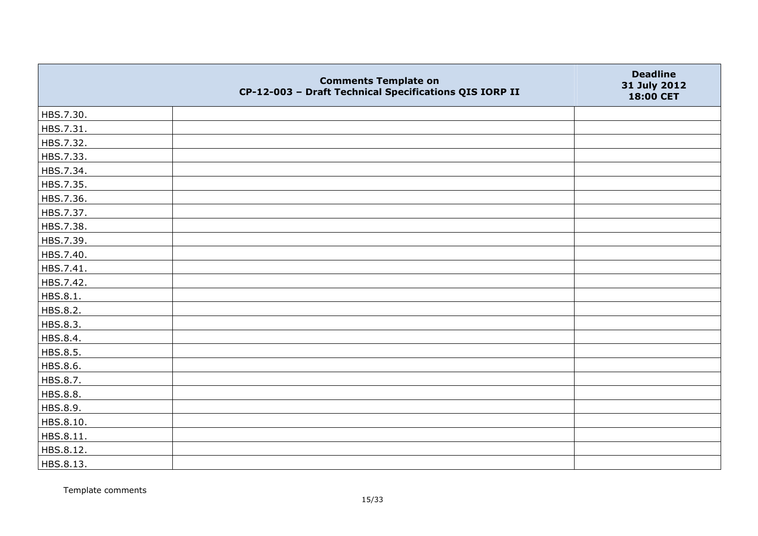|                 | <b>Comments Template on</b><br>CP-12-003 - Draft Technical Specifications QIS IORP II | <b>Deadline</b><br>31 July 2012<br>18:00 CET |
|-----------------|---------------------------------------------------------------------------------------|----------------------------------------------|
| HBS.7.30.       |                                                                                       |                                              |
| HBS.7.31.       |                                                                                       |                                              |
| HBS.7.32.       |                                                                                       |                                              |
| HBS.7.33.       |                                                                                       |                                              |
| HBS.7.34.       |                                                                                       |                                              |
| HBS.7.35.       |                                                                                       |                                              |
| HBS.7.36.       |                                                                                       |                                              |
| HBS.7.37.       |                                                                                       |                                              |
| HBS.7.38.       |                                                                                       |                                              |
| HBS.7.39.       |                                                                                       |                                              |
| HBS.7.40.       |                                                                                       |                                              |
| HBS.7.41.       |                                                                                       |                                              |
| HBS.7.42.       |                                                                                       |                                              |
| HBS.8.1.        |                                                                                       |                                              |
| HBS.8.2.        |                                                                                       |                                              |
| HBS.8.3.        |                                                                                       |                                              |
| HBS.8.4.        |                                                                                       |                                              |
| HBS.8.5.        |                                                                                       |                                              |
| HBS.8.6.        |                                                                                       |                                              |
| HBS.8.7.        |                                                                                       |                                              |
| <b>HBS.8.8.</b> |                                                                                       |                                              |
| HBS.8.9.        |                                                                                       |                                              |
| HBS.8.10.       |                                                                                       |                                              |
| HBS.8.11.       |                                                                                       |                                              |
| HBS.8.12.       |                                                                                       |                                              |
| HBS.8.13.       |                                                                                       |                                              |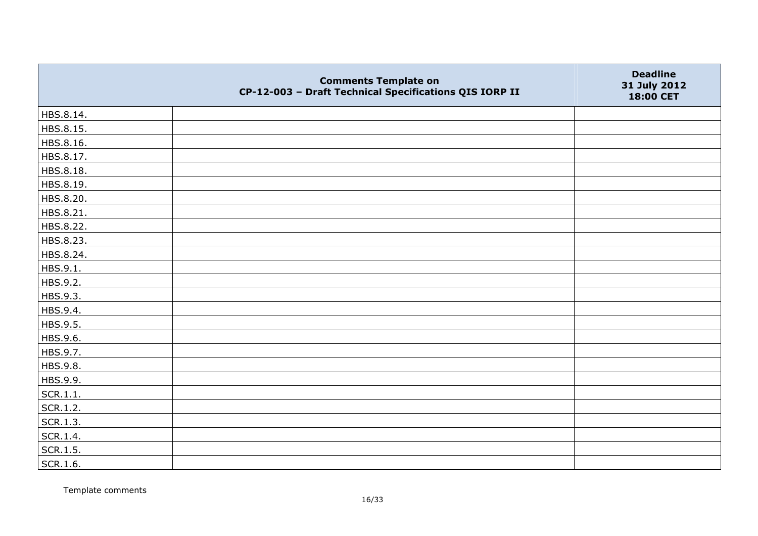|           | <b>Comments Template on</b><br>CP-12-003 - Draft Technical Specifications QIS IORP II | <b>Deadline</b><br>31 July 2012<br>18:00 CET |
|-----------|---------------------------------------------------------------------------------------|----------------------------------------------|
| HBS.8.14. |                                                                                       |                                              |
| HBS.8.15. |                                                                                       |                                              |
| HBS.8.16. |                                                                                       |                                              |
| HBS.8.17. |                                                                                       |                                              |
| HBS.8.18. |                                                                                       |                                              |
| HBS.8.19. |                                                                                       |                                              |
| HBS.8.20. |                                                                                       |                                              |
| HBS.8.21. |                                                                                       |                                              |
| HBS.8.22. |                                                                                       |                                              |
| HBS.8.23. |                                                                                       |                                              |
| HBS.8.24. |                                                                                       |                                              |
| HBS.9.1.  |                                                                                       |                                              |
| HBS.9.2.  |                                                                                       |                                              |
| HBS.9.3.  |                                                                                       |                                              |
| HBS.9.4.  |                                                                                       |                                              |
| HBS.9.5.  |                                                                                       |                                              |
| HBS.9.6.  |                                                                                       |                                              |
| HBS.9.7.  |                                                                                       |                                              |
| HBS.9.8.  |                                                                                       |                                              |
| HBS.9.9.  |                                                                                       |                                              |
| SCR.1.1.  |                                                                                       |                                              |
| SCR.1.2.  |                                                                                       |                                              |
| SCR.1.3.  |                                                                                       |                                              |
| SCR.1.4.  |                                                                                       |                                              |
| SCR.1.5.  |                                                                                       |                                              |
| SCR.1.6.  |                                                                                       |                                              |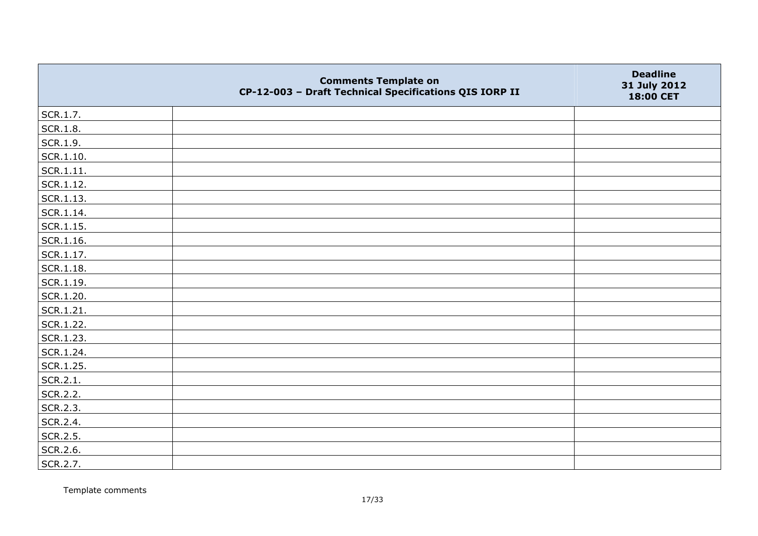|                   | <b>Comments Template on</b><br>CP-12-003 - Draft Technical Specifications QIS IORP II | <b>Deadline</b><br>31 July 2012<br>18:00 CET |
|-------------------|---------------------------------------------------------------------------------------|----------------------------------------------|
| SCR.1.7.          |                                                                                       |                                              |
| SCR.1.8.          |                                                                                       |                                              |
| SCR.1.9.          |                                                                                       |                                              |
| $\vert$ SCR.1.10. |                                                                                       |                                              |
| SCR.1.11.         |                                                                                       |                                              |
| SCR.1.12.         |                                                                                       |                                              |
| SCR.1.13.         |                                                                                       |                                              |
| $ $ SCR.1.14.     |                                                                                       |                                              |
| $\vert$ SCR.1.15. |                                                                                       |                                              |
| SCR.1.16.         |                                                                                       |                                              |
| $ $ SCR.1.17.     |                                                                                       |                                              |
| SCR.1.18.         |                                                                                       |                                              |
| SCR.1.19.         |                                                                                       |                                              |
| SCR.1.20.         |                                                                                       |                                              |
| SCR.1.21.         |                                                                                       |                                              |
| SCR.1.22.         |                                                                                       |                                              |
| SCR.1.23.         |                                                                                       |                                              |
| SCR.1.24.         |                                                                                       |                                              |
| SCR.1.25.         |                                                                                       |                                              |
| SCR.2.1.          |                                                                                       |                                              |
| SCR.2.2.          |                                                                                       |                                              |
| SCR.2.3.          |                                                                                       |                                              |
| SCR.2.4.          |                                                                                       |                                              |
| SCR.2.5.          |                                                                                       |                                              |
| SCR.2.6.          |                                                                                       |                                              |
| SCR.2.7.          |                                                                                       |                                              |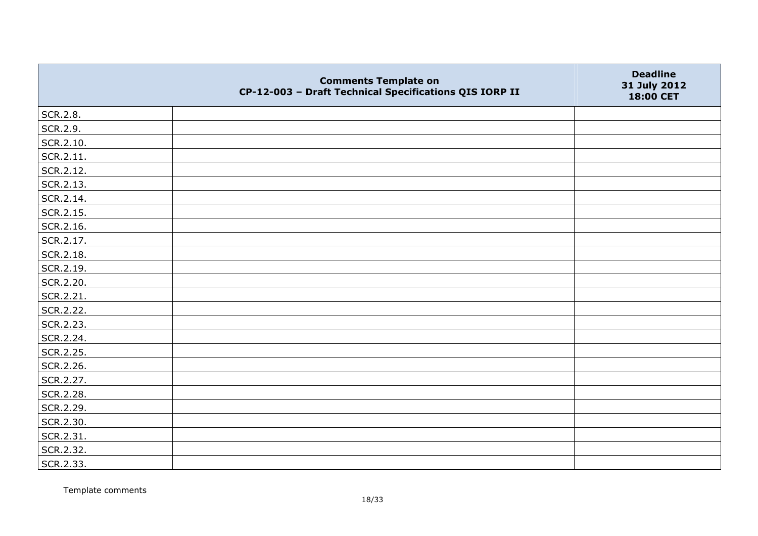|           | <b>Comments Template on</b><br>CP-12-003 - Draft Technical Specifications QIS IORP II | <b>Deadline</b><br>31 July 2012<br>18:00 CET |
|-----------|---------------------------------------------------------------------------------------|----------------------------------------------|
| SCR.2.8.  |                                                                                       |                                              |
| SCR.2.9.  |                                                                                       |                                              |
| SCR.2.10. |                                                                                       |                                              |
| SCR.2.11. |                                                                                       |                                              |
| SCR.2.12. |                                                                                       |                                              |
| SCR.2.13. |                                                                                       |                                              |
| SCR.2.14. |                                                                                       |                                              |
| SCR.2.15. |                                                                                       |                                              |
| SCR.2.16. |                                                                                       |                                              |
| SCR.2.17. |                                                                                       |                                              |
| SCR.2.18. |                                                                                       |                                              |
| SCR.2.19. |                                                                                       |                                              |
| SCR.2.20. |                                                                                       |                                              |
| SCR.2.21. |                                                                                       |                                              |
| SCR.2.22. |                                                                                       |                                              |
| SCR.2.23. |                                                                                       |                                              |
| SCR.2.24. |                                                                                       |                                              |
| SCR.2.25. |                                                                                       |                                              |
| SCR.2.26. |                                                                                       |                                              |
| SCR.2.27. |                                                                                       |                                              |
| SCR.2.28. |                                                                                       |                                              |
| SCR.2.29. |                                                                                       |                                              |
| SCR.2.30. |                                                                                       |                                              |
| SCR.2.31. |                                                                                       |                                              |
| SCR.2.32. |                                                                                       |                                              |
| SCR.2.33. |                                                                                       |                                              |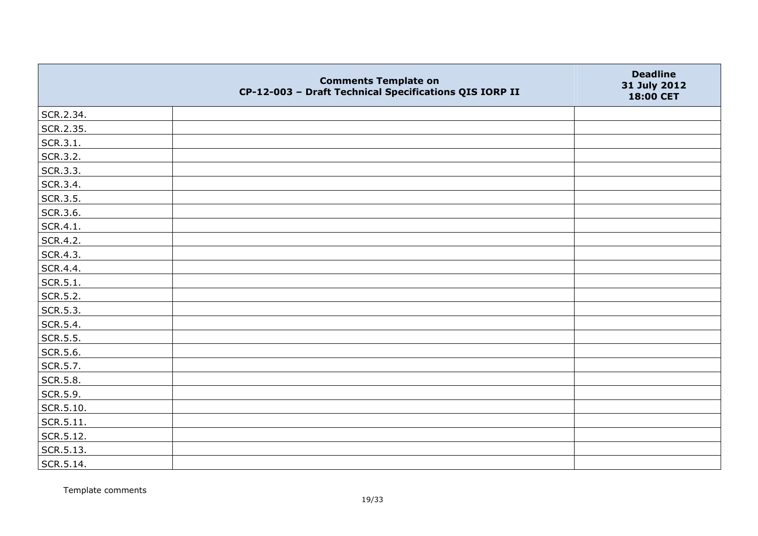|                 | <b>Comments Template on</b><br>CP-12-003 - Draft Technical Specifications QIS IORP II | <b>Deadline</b><br>31 July 2012<br>18:00 CET |
|-----------------|---------------------------------------------------------------------------------------|----------------------------------------------|
| SCR.2.34.       |                                                                                       |                                              |
| SCR.2.35.       |                                                                                       |                                              |
| SCR.3.1.        |                                                                                       |                                              |
| SCR.3.2.        |                                                                                       |                                              |
| SCR.3.3.        |                                                                                       |                                              |
| SCR.3.4.        |                                                                                       |                                              |
| SCR.3.5.        |                                                                                       |                                              |
| SCR.3.6.        |                                                                                       |                                              |
| SCR.4.1.        |                                                                                       |                                              |
| SCR.4.2.        |                                                                                       |                                              |
| SCR.4.3.        |                                                                                       |                                              |
| SCR.4.4.        |                                                                                       |                                              |
| SCR.5.1.        |                                                                                       |                                              |
| SCR.5.2.        |                                                                                       |                                              |
| SCR.5.3.        |                                                                                       |                                              |
| SCR.5.4.        |                                                                                       |                                              |
| SCR.5.5.        |                                                                                       |                                              |
| SCR.5.6.        |                                                                                       |                                              |
| SCR.5.7.        |                                                                                       |                                              |
| <b>SCR.5.8.</b> |                                                                                       |                                              |
| SCR.5.9.        |                                                                                       |                                              |
| SCR.5.10.       |                                                                                       |                                              |
| SCR.5.11.       |                                                                                       |                                              |
| SCR.5.12.       |                                                                                       |                                              |
| SCR.5.13.       |                                                                                       |                                              |
| SCR.5.14.       |                                                                                       |                                              |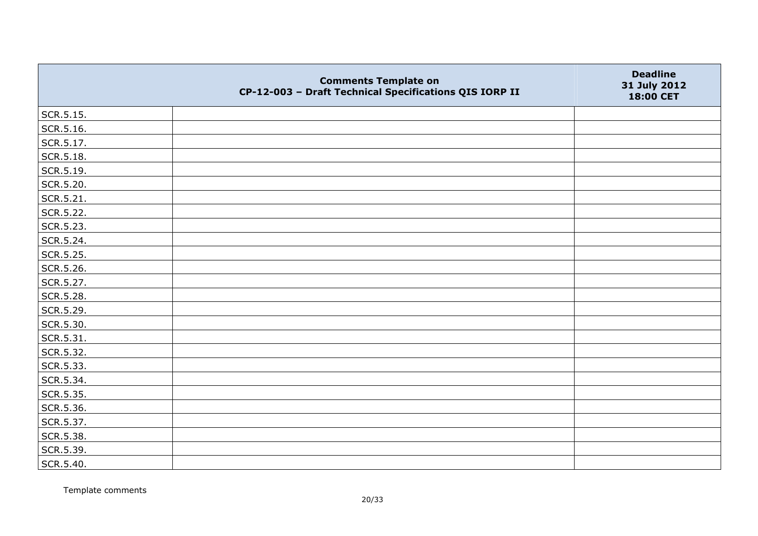|                   | <b>Comments Template on</b><br>CP-12-003 - Draft Technical Specifications QIS IORP II | <b>Deadline</b><br>31 July 2012<br>18:00 CET |
|-------------------|---------------------------------------------------------------------------------------|----------------------------------------------|
| SCR.5.15.         |                                                                                       |                                              |
| SCR.5.16.         |                                                                                       |                                              |
| SCR.5.17.         |                                                                                       |                                              |
| $\vert$ SCR.5.18. |                                                                                       |                                              |
| SCR.5.19.         |                                                                                       |                                              |
| SCR.5.20.         |                                                                                       |                                              |
| SCR.5.21.         |                                                                                       |                                              |
| SCR.5.22.         |                                                                                       |                                              |
| SCR.5.23.         |                                                                                       |                                              |
| SCR.5.24.         |                                                                                       |                                              |
| SCR.5.25.         |                                                                                       |                                              |
| SCR.5.26.         |                                                                                       |                                              |
| SCR.5.27.         |                                                                                       |                                              |
| SCR.5.28.         |                                                                                       |                                              |
| SCR.5.29.         |                                                                                       |                                              |
| SCR.5.30.         |                                                                                       |                                              |
| SCR.5.31.         |                                                                                       |                                              |
| SCR.5.32.         |                                                                                       |                                              |
| SCR.5.33.         |                                                                                       |                                              |
| SCR.5.34.         |                                                                                       |                                              |
| SCR.5.35.         |                                                                                       |                                              |
| SCR.5.36.         |                                                                                       |                                              |
| SCR.5.37.         |                                                                                       |                                              |
| SCR.5.38.         |                                                                                       |                                              |
| SCR.5.39.         |                                                                                       |                                              |
| SCR.5.40.         |                                                                                       |                                              |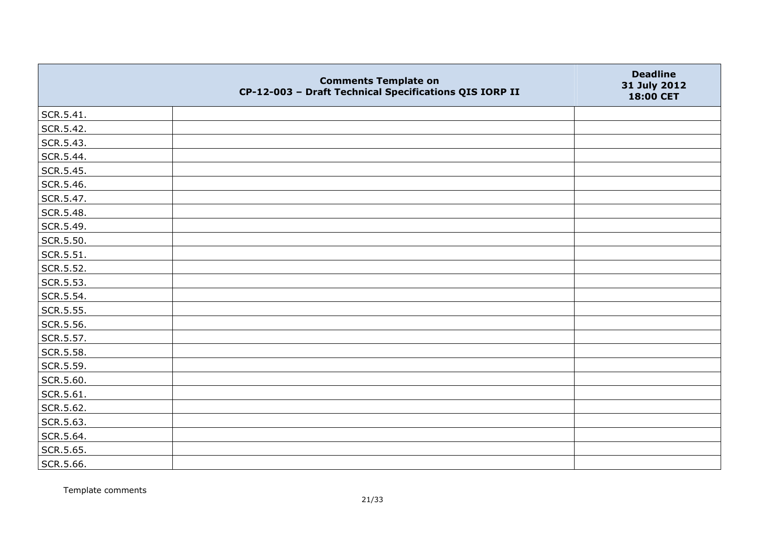|           | <b>Comments Template on</b><br>CP-12-003 - Draft Technical Specifications QIS IORP II | <b>Deadline</b><br>31 July 2012<br>18:00 CET |
|-----------|---------------------------------------------------------------------------------------|----------------------------------------------|
| SCR.5.41. |                                                                                       |                                              |
| SCR.5.42. |                                                                                       |                                              |
| SCR.5.43. |                                                                                       |                                              |
| SCR.5.44. |                                                                                       |                                              |
| SCR.5.45. |                                                                                       |                                              |
| SCR.5.46. |                                                                                       |                                              |
| SCR.5.47. |                                                                                       |                                              |
| SCR.5.48. |                                                                                       |                                              |
| SCR.5.49. |                                                                                       |                                              |
| SCR.5.50. |                                                                                       |                                              |
| SCR.5.51. |                                                                                       |                                              |
| SCR.5.52. |                                                                                       |                                              |
| SCR.5.53. |                                                                                       |                                              |
| SCR.5.54. |                                                                                       |                                              |
| SCR.5.55. |                                                                                       |                                              |
| SCR.5.56. |                                                                                       |                                              |
| SCR.5.57. |                                                                                       |                                              |
| SCR.5.58. |                                                                                       |                                              |
| SCR.5.59. |                                                                                       |                                              |
| SCR.5.60. |                                                                                       |                                              |
| SCR.5.61. |                                                                                       |                                              |
| SCR.5.62. |                                                                                       |                                              |
| SCR.5.63. |                                                                                       |                                              |
| SCR.5.64. |                                                                                       |                                              |
| SCR.5.65. |                                                                                       |                                              |
| SCR.5.66. |                                                                                       |                                              |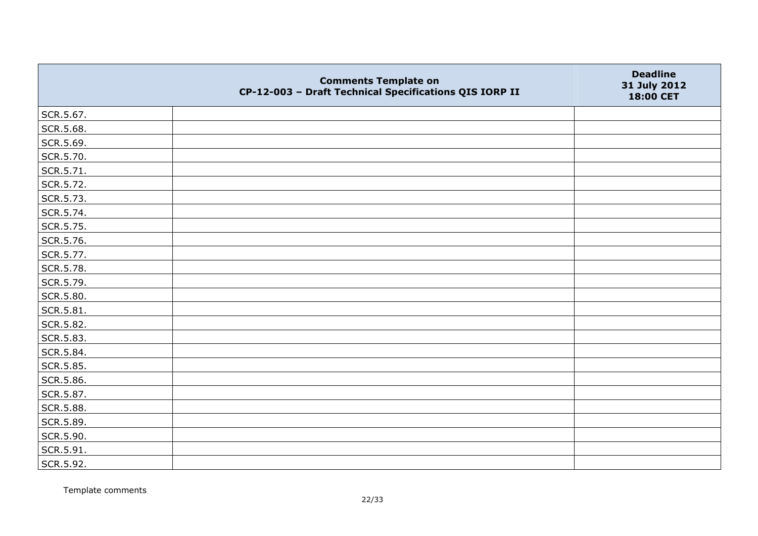|           | <b>Comments Template on</b><br>CP-12-003 - Draft Technical Specifications QIS IORP II | <b>Deadline</b><br>31 July 2012<br>18:00 CET |
|-----------|---------------------------------------------------------------------------------------|----------------------------------------------|
| SCR.5.67. |                                                                                       |                                              |
| SCR.5.68. |                                                                                       |                                              |
| SCR.5.69. |                                                                                       |                                              |
| SCR.5.70. |                                                                                       |                                              |
| SCR.5.71. |                                                                                       |                                              |
| SCR.5.72. |                                                                                       |                                              |
| SCR.5.73. |                                                                                       |                                              |
| SCR.5.74. |                                                                                       |                                              |
| SCR.5.75. |                                                                                       |                                              |
| SCR.5.76. |                                                                                       |                                              |
| SCR.5.77. |                                                                                       |                                              |
| SCR.5.78. |                                                                                       |                                              |
| SCR.5.79. |                                                                                       |                                              |
| SCR.5.80. |                                                                                       |                                              |
| SCR.5.81. |                                                                                       |                                              |
| SCR.5.82. |                                                                                       |                                              |
| SCR.5.83. |                                                                                       |                                              |
| SCR.5.84. |                                                                                       |                                              |
| SCR.5.85. |                                                                                       |                                              |
| SCR.5.86. |                                                                                       |                                              |
| SCR.5.87. |                                                                                       |                                              |
| SCR.5.88. |                                                                                       |                                              |
| SCR.5.89. |                                                                                       |                                              |
| SCR.5.90. |                                                                                       |                                              |
| SCR.5.91. |                                                                                       |                                              |
| SCR.5.92. |                                                                                       |                                              |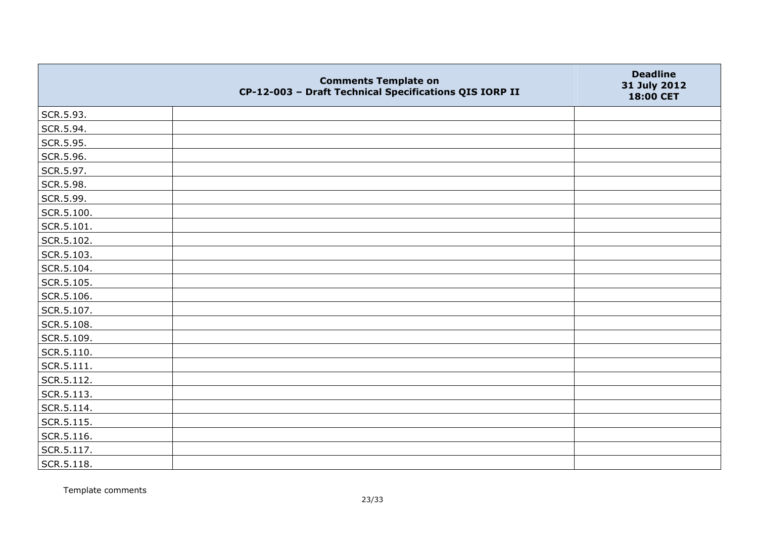|                | <b>Comments Template on</b><br>CP-12-003 - Draft Technical Specifications QIS IORP II | <b>Deadline</b><br>31 July 2012<br>18:00 CET |
|----------------|---------------------------------------------------------------------------------------|----------------------------------------------|
| SCR.5.93.      |                                                                                       |                                              |
| SCR.5.94.      |                                                                                       |                                              |
| SCR.5.95.      |                                                                                       |                                              |
| SCR.5.96.      |                                                                                       |                                              |
| SCR.5.97.      |                                                                                       |                                              |
| SCR.5.98.      |                                                                                       |                                              |
| SCR.5.99.      |                                                                                       |                                              |
| SCR.5.100.     |                                                                                       |                                              |
| SCR.5.101.     |                                                                                       |                                              |
| SCR.5.102.     |                                                                                       |                                              |
| SCR.5.103.     |                                                                                       |                                              |
| SCR.5.104.     |                                                                                       |                                              |
| SCR.5.105.     |                                                                                       |                                              |
| SCR.5.106.     |                                                                                       |                                              |
| SCR.5.107.     |                                                                                       |                                              |
| SCR.5.108.     |                                                                                       |                                              |
| SCR.5.109.     |                                                                                       |                                              |
| SCR.5.110.     |                                                                                       |                                              |
| $ $ SCR.5.111. |                                                                                       |                                              |
| SCR.5.112.     |                                                                                       |                                              |
| SCR.5.113.     |                                                                                       |                                              |
| SCR.5.114.     |                                                                                       |                                              |
| SCR.5.115.     |                                                                                       |                                              |
| SCR.5.116.     |                                                                                       |                                              |
| SCR.5.117.     |                                                                                       |                                              |
| $ $ SCR.5.118. |                                                                                       |                                              |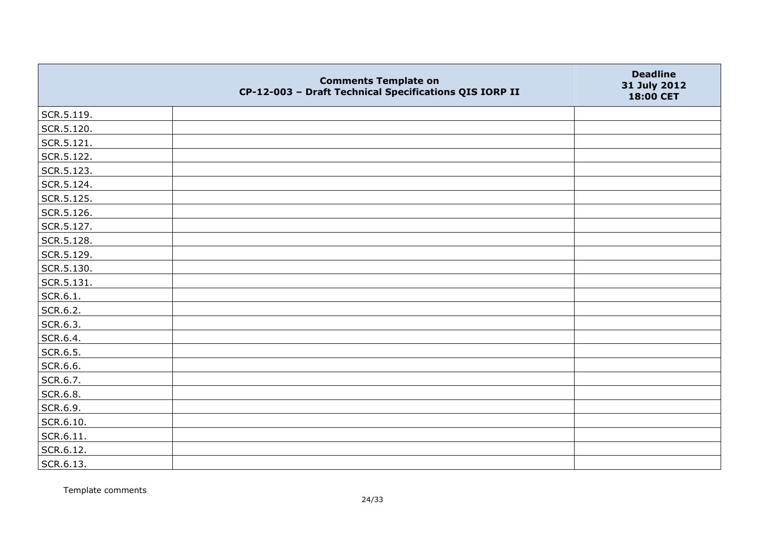|            | <b>Comments Template on</b><br>CP-12-003 - Draft Technical Specifications QIS IORP II | <b>Deadline</b><br>31 July 2012<br>18:00 CET |
|------------|---------------------------------------------------------------------------------------|----------------------------------------------|
| SCR.5.119. |                                                                                       |                                              |
| SCR.5.120. |                                                                                       |                                              |
| SCR.5.121. |                                                                                       |                                              |
| SCR.5.122. |                                                                                       |                                              |
| SCR.5.123. |                                                                                       |                                              |
| SCR.5.124. |                                                                                       |                                              |
| SCR.5.125. |                                                                                       |                                              |
| SCR.5.126. |                                                                                       |                                              |
| SCR.5.127. |                                                                                       |                                              |
| SCR.5.128. |                                                                                       |                                              |
| SCR.5.129. |                                                                                       |                                              |
| SCR.5.130. |                                                                                       |                                              |
| SCR.5.131. |                                                                                       |                                              |
| SCR.6.1.   |                                                                                       |                                              |
| SCR.6.2.   |                                                                                       |                                              |
| SCR.6.3.   |                                                                                       |                                              |
| SCR.6.4.   |                                                                                       |                                              |
| SCR.6.5.   |                                                                                       |                                              |
| SCR.6.6.   |                                                                                       |                                              |
| SCR.6.7.   |                                                                                       |                                              |
| SCR.6.8.   |                                                                                       |                                              |
| SCR.6.9.   |                                                                                       |                                              |
| SCR.6.10.  |                                                                                       |                                              |
| SCR.6.11.  |                                                                                       |                                              |
| SCR.6.12.  |                                                                                       |                                              |
| SCR.6.13.  |                                                                                       |                                              |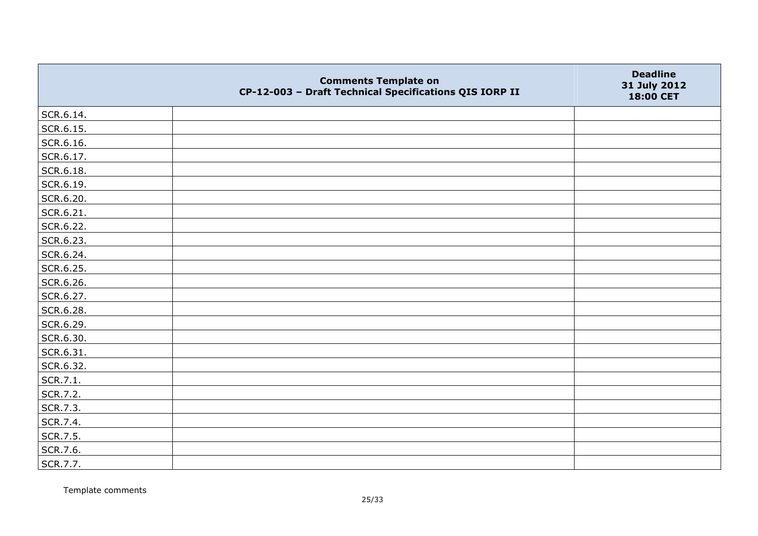|           | <b>Comments Template on</b><br>CP-12-003 - Draft Technical Specifications QIS IORP II | <b>Deadline</b><br>31 July 2012<br>18:00 CET |
|-----------|---------------------------------------------------------------------------------------|----------------------------------------------|
| SCR.6.14. |                                                                                       |                                              |
| SCR.6.15. |                                                                                       |                                              |
| SCR.6.16. |                                                                                       |                                              |
| SCR.6.17. |                                                                                       |                                              |
| SCR.6.18. |                                                                                       |                                              |
| SCR.6.19. |                                                                                       |                                              |
| SCR.6.20. |                                                                                       |                                              |
| SCR.6.21. |                                                                                       |                                              |
| SCR.6.22. |                                                                                       |                                              |
| SCR.6.23. |                                                                                       |                                              |
| SCR.6.24. |                                                                                       |                                              |
| SCR.6.25. |                                                                                       |                                              |
| SCR.6.26. |                                                                                       |                                              |
| SCR.6.27. |                                                                                       |                                              |
| SCR.6.28. |                                                                                       |                                              |
| SCR.6.29. |                                                                                       |                                              |
| SCR.6.30. |                                                                                       |                                              |
| SCR.6.31. |                                                                                       |                                              |
| SCR.6.32. |                                                                                       |                                              |
| SCR.7.1.  |                                                                                       |                                              |
| SCR.7.2.  |                                                                                       |                                              |
| SCR.7.3.  |                                                                                       |                                              |
| SCR.7.4.  |                                                                                       |                                              |
| SCR.7.5.  |                                                                                       |                                              |
| SCR.7.6.  |                                                                                       |                                              |
| SCR.7.7.  |                                                                                       |                                              |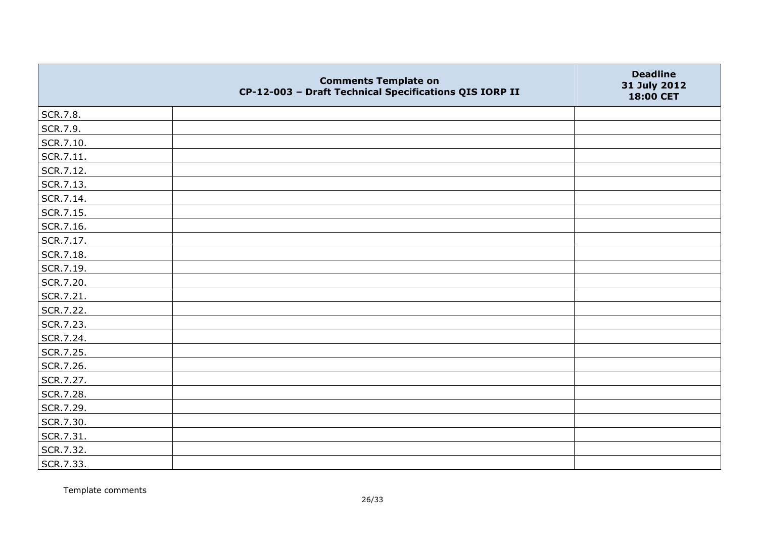|           | <b>Comments Template on</b><br>CP-12-003 - Draft Technical Specifications QIS IORP II | <b>Deadline</b><br>31 July 2012<br>18:00 CET |
|-----------|---------------------------------------------------------------------------------------|----------------------------------------------|
| SCR.7.8.  |                                                                                       |                                              |
| SCR.7.9.  |                                                                                       |                                              |
| SCR.7.10. |                                                                                       |                                              |
| SCR.7.11. |                                                                                       |                                              |
| SCR.7.12. |                                                                                       |                                              |
| SCR.7.13. |                                                                                       |                                              |
| SCR.7.14. |                                                                                       |                                              |
| SCR.7.15. |                                                                                       |                                              |
| SCR.7.16. |                                                                                       |                                              |
| SCR.7.17. |                                                                                       |                                              |
| SCR.7.18. |                                                                                       |                                              |
| SCR.7.19. |                                                                                       |                                              |
| SCR.7.20. |                                                                                       |                                              |
| SCR.7.21. |                                                                                       |                                              |
| SCR.7.22. |                                                                                       |                                              |
| SCR.7.23. |                                                                                       |                                              |
| SCR.7.24. |                                                                                       |                                              |
| SCR.7.25. |                                                                                       |                                              |
| SCR.7.26. |                                                                                       |                                              |
| SCR.7.27. |                                                                                       |                                              |
| SCR.7.28. |                                                                                       |                                              |
| SCR.7.29. |                                                                                       |                                              |
| SCR.7.30. |                                                                                       |                                              |
| SCR.7.31. |                                                                                       |                                              |
| SCR.7.32. |                                                                                       |                                              |
| SCR.7.33. |                                                                                       |                                              |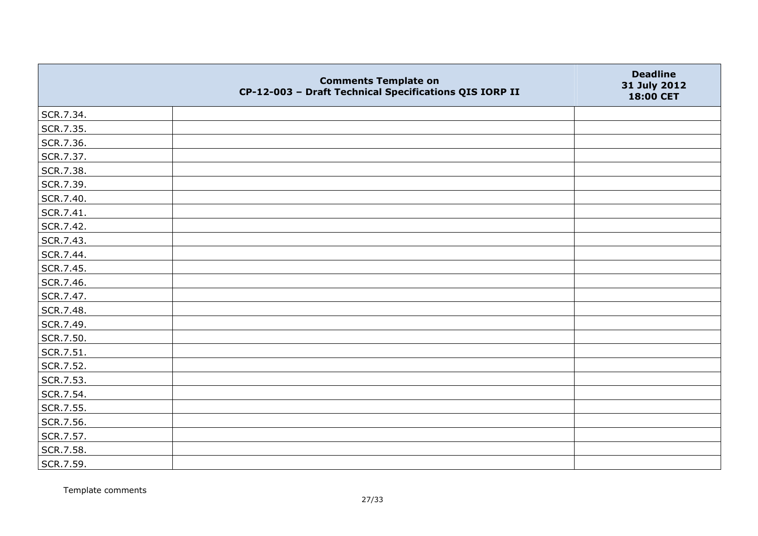|           | <b>Comments Template on</b><br>CP-12-003 - Draft Technical Specifications QIS IORP II | <b>Deadline</b><br>31 July 2012<br>18:00 CET |
|-----------|---------------------------------------------------------------------------------------|----------------------------------------------|
| SCR.7.34. |                                                                                       |                                              |
| SCR.7.35. |                                                                                       |                                              |
| SCR.7.36. |                                                                                       |                                              |
| SCR.7.37. |                                                                                       |                                              |
| SCR.7.38. |                                                                                       |                                              |
| SCR.7.39. |                                                                                       |                                              |
| SCR.7.40. |                                                                                       |                                              |
| SCR.7.41. |                                                                                       |                                              |
| SCR.7.42. |                                                                                       |                                              |
| SCR.7.43. |                                                                                       |                                              |
| SCR.7.44. |                                                                                       |                                              |
| SCR.7.45. |                                                                                       |                                              |
| SCR.7.46. |                                                                                       |                                              |
| SCR.7.47. |                                                                                       |                                              |
| SCR.7.48. |                                                                                       |                                              |
| SCR.7.49. |                                                                                       |                                              |
| SCR.7.50. |                                                                                       |                                              |
| SCR.7.51. |                                                                                       |                                              |
| SCR.7.52. |                                                                                       |                                              |
| SCR.7.53. |                                                                                       |                                              |
| SCR.7.54. |                                                                                       |                                              |
| SCR.7.55. |                                                                                       |                                              |
| SCR.7.56. |                                                                                       |                                              |
| SCR.7.57. |                                                                                       |                                              |
| SCR.7.58. |                                                                                       |                                              |
| SCR.7.59. |                                                                                       |                                              |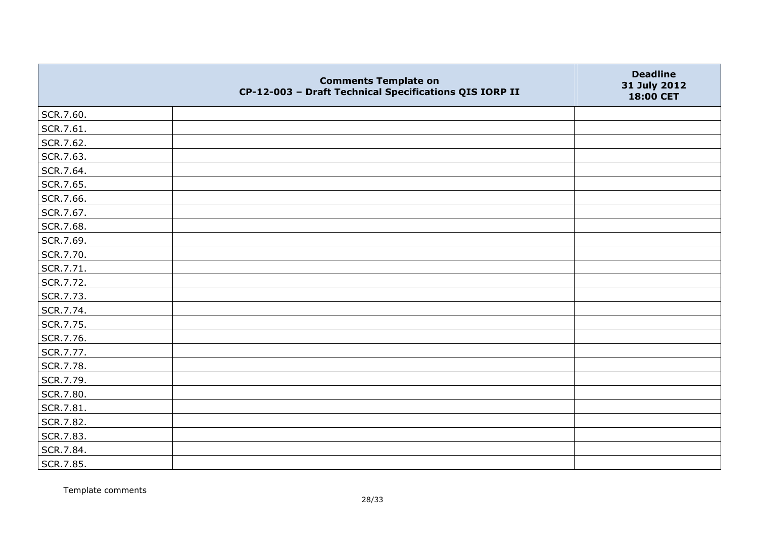|           | <b>Comments Template on</b><br>CP-12-003 - Draft Technical Specifications QIS IORP II | <b>Deadline</b><br>31 July 2012<br>18:00 CET |
|-----------|---------------------------------------------------------------------------------------|----------------------------------------------|
| SCR.7.60. |                                                                                       |                                              |
| SCR.7.61. |                                                                                       |                                              |
| SCR.7.62. |                                                                                       |                                              |
| SCR.7.63. |                                                                                       |                                              |
| SCR.7.64. |                                                                                       |                                              |
| SCR.7.65. |                                                                                       |                                              |
| SCR.7.66. |                                                                                       |                                              |
| SCR.7.67. |                                                                                       |                                              |
| SCR.7.68. |                                                                                       |                                              |
| SCR.7.69. |                                                                                       |                                              |
| SCR.7.70. |                                                                                       |                                              |
| SCR.7.71. |                                                                                       |                                              |
| SCR.7.72. |                                                                                       |                                              |
| SCR.7.73. |                                                                                       |                                              |
| SCR.7.74. |                                                                                       |                                              |
| SCR.7.75. |                                                                                       |                                              |
| SCR.7.76. |                                                                                       |                                              |
| SCR.7.77. |                                                                                       |                                              |
| SCR.7.78. |                                                                                       |                                              |
| SCR.7.79. |                                                                                       |                                              |
| SCR.7.80. |                                                                                       |                                              |
| SCR.7.81. |                                                                                       |                                              |
| SCR.7.82. |                                                                                       |                                              |
| SCR.7.83. |                                                                                       |                                              |
| SCR.7.84. |                                                                                       |                                              |
| SCR.7.85. |                                                                                       |                                              |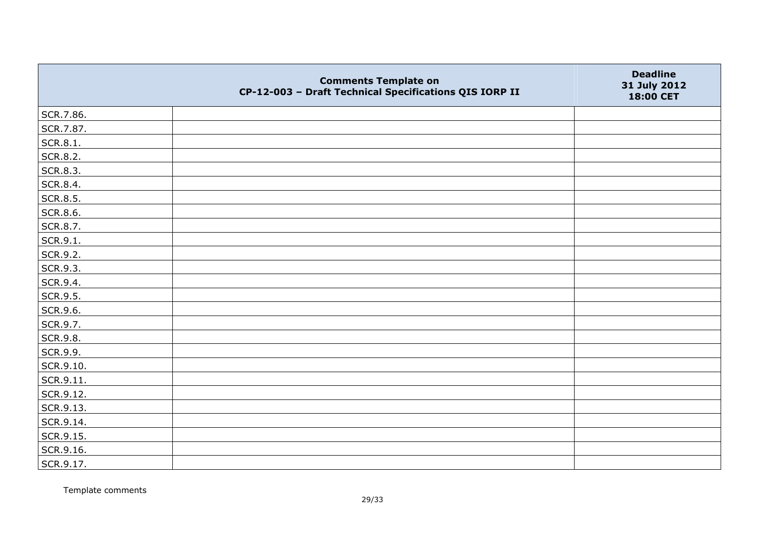|           | <b>Comments Template on</b><br>CP-12-003 - Draft Technical Specifications QIS IORP II | <b>Deadline</b><br>31 July 2012<br>18:00 CET |
|-----------|---------------------------------------------------------------------------------------|----------------------------------------------|
| SCR.7.86. |                                                                                       |                                              |
| SCR.7.87. |                                                                                       |                                              |
| SCR.8.1.  |                                                                                       |                                              |
| SCR.8.2.  |                                                                                       |                                              |
| SCR.8.3.  |                                                                                       |                                              |
| SCR.8.4.  |                                                                                       |                                              |
| SCR.8.5.  |                                                                                       |                                              |
| SCR.8.6.  |                                                                                       |                                              |
| SCR.8.7.  |                                                                                       |                                              |
| SCR.9.1.  |                                                                                       |                                              |
| SCR.9.2.  |                                                                                       |                                              |
| SCR.9.3.  |                                                                                       |                                              |
| SCR.9.4.  |                                                                                       |                                              |
| SCR.9.5.  |                                                                                       |                                              |
| SCR.9.6.  |                                                                                       |                                              |
| SCR.9.7.  |                                                                                       |                                              |
| SCR.9.8.  |                                                                                       |                                              |
| SCR.9.9.  |                                                                                       |                                              |
| SCR.9.10. |                                                                                       |                                              |
| SCR.9.11. |                                                                                       |                                              |
| SCR.9.12. |                                                                                       |                                              |
| SCR.9.13. |                                                                                       |                                              |
| SCR.9.14. |                                                                                       |                                              |
| SCR.9.15. |                                                                                       |                                              |
| SCR.9.16. |                                                                                       |                                              |
| SCR.9.17. |                                                                                       |                                              |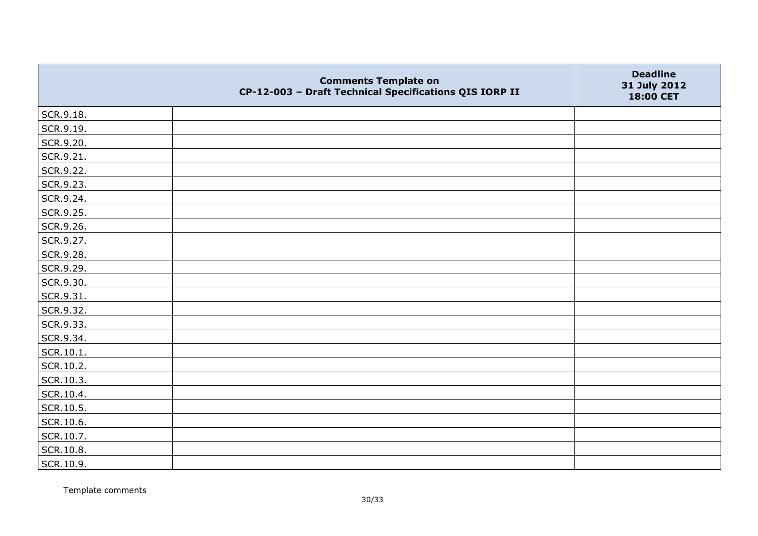|                   | <b>Comments Template on</b><br>CP-12-003 - Draft Technical Specifications QIS IORP II | <b>Deadline</b><br>31 July 2012<br>18:00 CET |
|-------------------|---------------------------------------------------------------------------------------|----------------------------------------------|
| SCR.9.18.         |                                                                                       |                                              |
| SCR.9.19.         |                                                                                       |                                              |
| SCR.9.20.         |                                                                                       |                                              |
| SCR.9.21.         |                                                                                       |                                              |
| SCR.9.22.         |                                                                                       |                                              |
| SCR.9.23.         |                                                                                       |                                              |
| SCR.9.24.         |                                                                                       |                                              |
| SCR.9.25.         |                                                                                       |                                              |
| SCR.9.26.         |                                                                                       |                                              |
| SCR.9.27.         |                                                                                       |                                              |
| SCR.9.28.         |                                                                                       |                                              |
| SCR.9.29.         |                                                                                       |                                              |
| SCR.9.30.         |                                                                                       |                                              |
| SCR.9.31.         |                                                                                       |                                              |
| SCR.9.32.         |                                                                                       |                                              |
| SCR.9.33.         |                                                                                       |                                              |
| SCR.9.34.         |                                                                                       |                                              |
| $\vert$ SCR.10.1. |                                                                                       |                                              |
| SCR.10.2.         |                                                                                       |                                              |
| SCR.10.3.         |                                                                                       |                                              |
| SCR.10.4.         |                                                                                       |                                              |
| SCR.10.5.         |                                                                                       |                                              |
| SCR.10.6.         |                                                                                       |                                              |
| SCR.10.7.         |                                                                                       |                                              |
| SCR.10.8.         |                                                                                       |                                              |
| SCR.10.9.         |                                                                                       |                                              |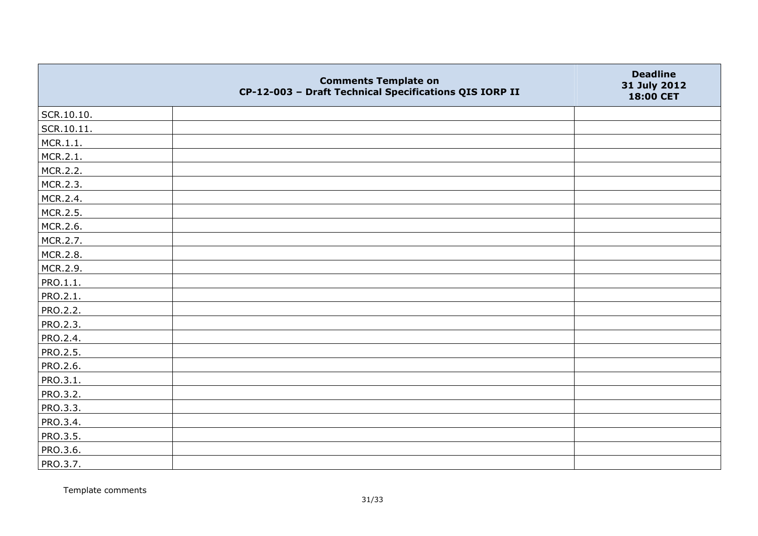|            | <b>Comments Template on</b><br>CP-12-003 - Draft Technical Specifications QIS IORP II | <b>Deadline</b><br>31 July 2012<br>18:00 CET |
|------------|---------------------------------------------------------------------------------------|----------------------------------------------|
| SCR.10.10. |                                                                                       |                                              |
| SCR.10.11. |                                                                                       |                                              |
| MCR.1.1.   |                                                                                       |                                              |
| MCR.2.1.   |                                                                                       |                                              |
| MCR.2.2.   |                                                                                       |                                              |
| MCR.2.3.   |                                                                                       |                                              |
| MCR.2.4.   |                                                                                       |                                              |
| MCR.2.5.   |                                                                                       |                                              |
| MCR.2.6.   |                                                                                       |                                              |
| MCR.2.7.   |                                                                                       |                                              |
| MCR.2.8.   |                                                                                       |                                              |
| MCR.2.9.   |                                                                                       |                                              |
| PRO.1.1.   |                                                                                       |                                              |
| PRO.2.1.   |                                                                                       |                                              |
| PRO.2.2.   |                                                                                       |                                              |
| PRO.2.3.   |                                                                                       |                                              |
| PRO.2.4.   |                                                                                       |                                              |
| PRO.2.5.   |                                                                                       |                                              |
| PRO.2.6.   |                                                                                       |                                              |
| PRO.3.1.   |                                                                                       |                                              |
| PRO.3.2.   |                                                                                       |                                              |
| PRO.3.3.   |                                                                                       |                                              |
| PRO.3.4.   |                                                                                       |                                              |
| PRO.3.5.   |                                                                                       |                                              |
| PRO.3.6.   |                                                                                       |                                              |
| PRO.3.7.   |                                                                                       |                                              |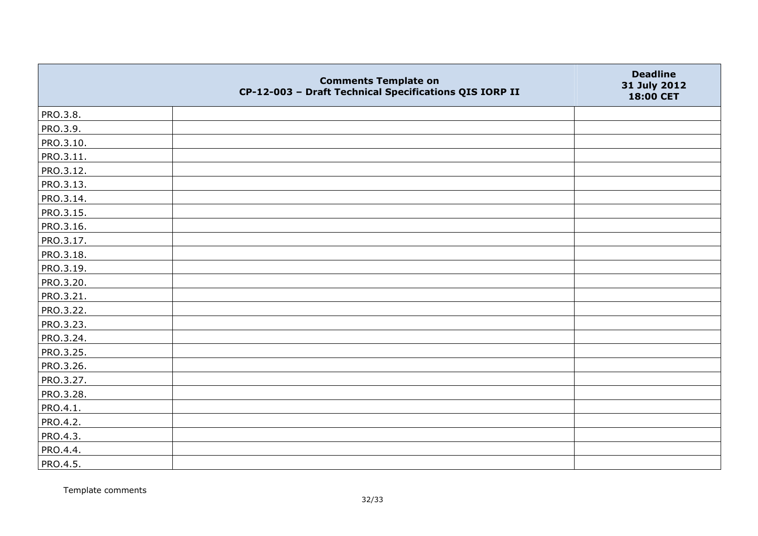|           | <b>Comments Template on</b><br>CP-12-003 - Draft Technical Specifications QIS IORP II | <b>Deadline</b><br>31 July 2012<br>18:00 CET |
|-----------|---------------------------------------------------------------------------------------|----------------------------------------------|
| PRO.3.8.  |                                                                                       |                                              |
| PRO.3.9.  |                                                                                       |                                              |
| PRO.3.10. |                                                                                       |                                              |
| PRO.3.11. |                                                                                       |                                              |
| PRO.3.12. |                                                                                       |                                              |
| PRO.3.13. |                                                                                       |                                              |
| PRO.3.14. |                                                                                       |                                              |
| PRO.3.15. |                                                                                       |                                              |
| PRO.3.16. |                                                                                       |                                              |
| PRO.3.17. |                                                                                       |                                              |
| PRO.3.18. |                                                                                       |                                              |
| PRO.3.19. |                                                                                       |                                              |
| PRO.3.20. |                                                                                       |                                              |
| PRO.3.21. |                                                                                       |                                              |
| PRO.3.22. |                                                                                       |                                              |
| PRO.3.23. |                                                                                       |                                              |
| PRO.3.24. |                                                                                       |                                              |
| PRO.3.25. |                                                                                       |                                              |
| PRO.3.26. |                                                                                       |                                              |
| PRO.3.27. |                                                                                       |                                              |
| PRO.3.28. |                                                                                       |                                              |
| PRO.4.1.  |                                                                                       |                                              |
| PRO.4.2.  |                                                                                       |                                              |
| PRO.4.3.  |                                                                                       |                                              |
| PRO.4.4.  |                                                                                       |                                              |
| PRO.4.5.  |                                                                                       |                                              |